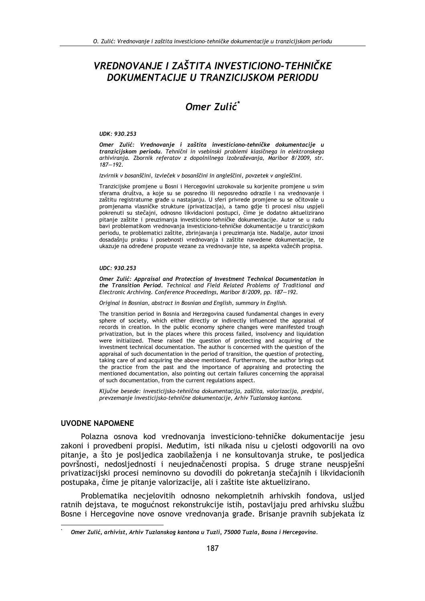# VREDNOVANJE I ZAŠTITA INVESTICIONO-TEHNIČKE DOKUMENTACIJE U TRANZICIJSKOM PERIODU

# Omer Zulić<sup>\*</sup>

#### UDK: 930.253

Omer Zulić: Vrednovanie i zaštita investiciono-tehničke dokumentacije u tranzicijskom periodu. Tehnični in vsebinski problemi klasičnega in elektronskega arhiviranja. Zbornik referatov z dopolnilnega izobraževanja, Maribor 8/2009, str.  $187 - 192.$ 

Izvirnik v bosanščini, izvleček v bosanščini in angleščini, povzetek v angleščini.

Tranzicijske promiene u Bosni i Hercegovini uzrokovale su korienite promiene u svim sferama društva, a koje su se posredno ili neposredno odrazile i na vrednovanje i zaštitu registraturne građe u nastajanju. U sferi privrede promjene su se očitovale u promjenama vlasničke strukture (privatizacija), a tamo gdje ti procesi nisu uspjeli pokrenuti su stečajni, odnosno likvidacioni postupci, čime je dodatno aktuelizirano pitanje zaštite i preuzimanja investiciono-tehničke dokumentacije. Autor se u radu bavi problematikom vrednovanja investiciono-tehničke dokumentacije u tranzicijskom periodu, te problematici zaštite, zbrinjavanja i preuzimanja iste. Nadalje, autor iznosi dosadašnju praksu i posebnosti vrednovanja i zaštite navedene dokumentacije, te ukazuje na određene propuste vezane za vrednovanje iste, sa aspekta važećih propisa.

#### UDC: 930.253

Omer Zulić: Appraisal and Protection of Investment Technical Documentation in the Transition Period. Technical and Field Related Problems of Traditional and Electronic Archiving. Conference Proceedings, Maribor 8/2009, pp. 187-192.

Original in Bosnian, abstract in Bosnian and English, summary in English.

The transition period in Bosnia and Herzegovina caused fundamental changes in every sphere of society, which either directly or indirectly influenced the appraisal of records in creation. In the public economy sphere changes were manifested trough privatization, but in the places where this process failed, insolvency and liquidation were initialized. These raised the question of protecting and acquiring of the investment technical documentation. The author is concerned with the question of the appraisal of such documentation in the period of transition, the question of protecting, taking care of and acquiring the above mentioned. Furthermore, the author brings out the practice from the past and the importance of appraising and protecting the mentioned documentation, also pointing out certain failures concerning the appraisal of such documentation, from the current regulations aspect.

Ključne besede: investicijsko-tehnična dokumentacija, zaščita, valorizacija, predpisi, prevzemanje investicijsko-tehnične dokumentacije, Arhiv Tuzlanskog kantona.

### **UVODNE NAPOMENE**

Polazna osnova kod vrednovanja investiciono-tehničke dokumentacije jesu zakoni i provedbeni propisi. Međutim, isti nikada nisu u cjelosti odgovorili na ovo pitanie, a što je posliedica zaobilaženia i ne konsultovania struke, te posliedica površnosti, nedosljednosti i neujednačenosti propisa. S druge strane neuspješni privatizacijski procesi neminovno su dovodili do pokretanja stečajnih i likvidacionih postupaka, čime je pitanje valorizacije, ali i zaštite iste aktuelizirano.

Problematika necjelovitih odnosno nekompletnih arhivskih fondova, usljed ratnih dejstava, te mogućnost rekonstrukcije istih, postavljaju pred arhivsku službu Bosne i Hercegovine nove osnove vrednovanja građe. Brisanje pravnih subjekata iz

Omer Zulić, arhivist, Arhiv Tuzlanskog kantona u Tuzli, 75000 Tuzla, Bosna i Hercegovina.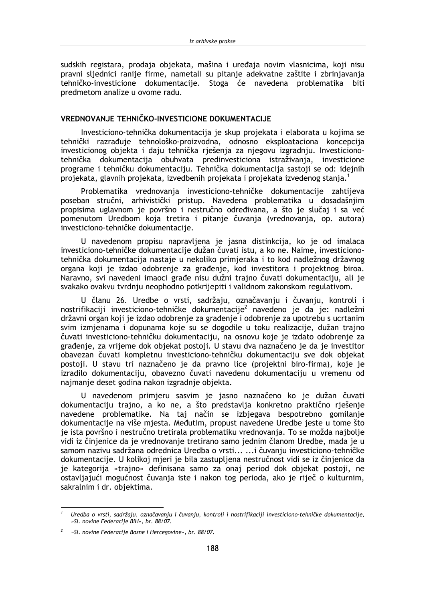sudskih registara, prodaja objekata, mašina i uređaja novim vlasnicima, koji nisu pravni sliednici ranije firme, nametali su pitanje adekvatne zaštite i zbrinjavanja tehničko-investicione dokumentacije. Stoga će navedena problematika biti predmetom analize u ovome radu.

## VREDNOVANJE TEHNIČKO-INVESTICIONE DOKUMENTACIJE

Investiciono-tehnička dokumentacija je skup projekata i elaborata u kojima se tehnički razrađuje tehnološko-proizvodna, odnosno eksploataciona koncepcija investicionog objekta i daju tehnička rješenja za njegovu izgradnju. Investicionotehnička dokumentacija obuhvata predinvesticiona istraživanja, investicione programe i tehničku dokumentaciju. Tehnička dokumentacija sastoji se od: idejnih projekata, glavnih projekata, izvedbenih projekata i projekata izvedenog stanja.<sup>1</sup>

Problematika vrednovanja investiciono-tehničke dokumentacije zahtijeva poseban stručni, arhivistički pristup. Navedena problematika u dosadašnjim propisima uglavnom je površno i nestručno određivana, a što je slučaj i sa već pomenutom Uredbom koja tretira i pitanje čuvanja (vrednovanja, op. autora) investiciono-tehničke dokumentacije.

U navedenom propisu napravljena je jasna distinkcija, ko je od imalaca investiciono-tehničke dokumentacije dužan čuvati istu, a ko ne. Naime, investicionotehnička dokumentacija nastaje u nekoliko primjeraka i to kod nadležnog državnog organa koji je izdao odobrenje za građenje, kod investitora i projektnog biroa. Naravno, svi navedeni imaoci građe nisu dužni trajno čuvati dokumentaciju, ali je svakako ovakvu tvrdnju neophodno potkrijepiti i validnom zakonskom regulativom.

U članu 26. Uredbe o vrsti, sadržaju, označavanju i čuvanju, kontroli i nostrifikaciji investiciono-tehničke dokumentacije<sup>2</sup> navedeno je da je: nadležni državni organ koji je izdao odobrenje za građenje i odobrenje za upotrebu s ucrtanim svim izmienama i dopunama koje su se dogodile u toku realizacije, dužan trajno čuvati investiciono-tehničku dokumentaciju, na osnovu koje je izdato odobrenje za građenje, za vrijeme dok objekat postoji. U stavu dva naznačeno je da je investitor obavezan čuvati kompletnu investiciono-tehničku dokumentaciju sve dok objekat postoji. U stavu tri naznačeno je da pravno lice (projektni biro-firma), koje je izradilo dokumentaciju, obavezno čuvati navedenu dokumentaciju u vremenu od najmanje deset godina nakon izgradnje objekta.

U navedenom primjeru sasvim je jasno naznačeno ko je dužan čuvati dokumentaciju trajno, a ko ne, a što predstavlja konkretno praktično rješenje navedene problematike. Na taj način se izbjegava bespotrebno gomilanje dokumentacije na više mjesta. Međutim, propust navedene Uredbe jeste u tome što je ista površno i nestručno tretirala problematiku vrednovanja. To se možda najbolje vidi iz činjenice da je vrednovanje tretirano samo jednim članom Uredbe, mada je u samom nazivu sadržana odrednica Uredba o vrsti... ...i čuvaniu investiciono-tehničke dokumentacije. U kolikoj mjeri je bila zastupljena nestručnost vidi se iz činjenice da je kategorija »trajno« definisana samo za onaj period dok objekat postoji, ne ostavljajući mogućnost čuvanja iste i nakon tog perioda, ako je riječ o kulturnim, sakralnim i dr. objektima.

Uredba o vrsti, sadržaju, označavanju i čuvanju, kontroli i nostrifikaciji investiciono-tehničke dokumentacije, »Sl. novine Federacije BiH«, br. 88/07.

<sup>»</sup>Sl. novine Federacije Bosne i Hercegovine«, br. 88/07.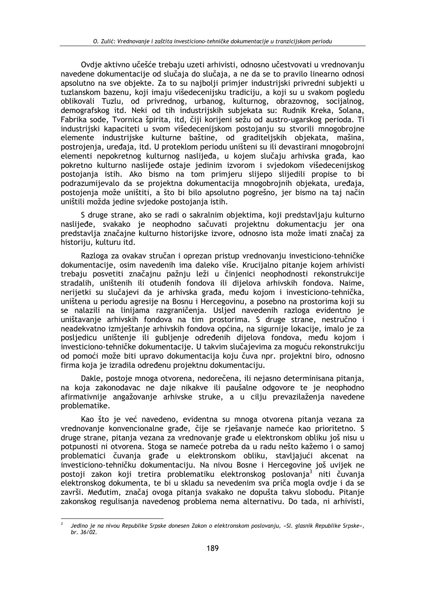Ovdie aktivno učešće trebaju uzeti arhivisti, odnosno učestvovati u vrednovanju navedene dokumentacije od slučaja do slučaja, a ne da se to pravilo linearno odnosi apsolutno na sve objekte. Za to su najbolji primjer industrijski privredni subjekti u tuzlanskom bazenu, koji imaju višedecenijsku tradiciju, a koji su u svakom pogledu oblikovali Tuzlu, od privrednog, urbanog, kulturnog, obrazovnog, socijalnog, demografskog itd. Neki od tih industrijskih subjekata su: Rudnik Kreka, Solana, Fabrika sode, Tvornica špirita, itd, čiji korijeni sežu od austro-ugarskog perioda. Ti industrijski kapaciteti u svom višedecenijskom postojanju su stvorili mnogobrojne elemente industrijske kulturne baštine, od graditeljskih objekata, mašina, postrojenja, uređaja, itd. U proteklom periodu uništeni su ili devastirani mnogobrojni elementi nepokretnog kulturnog naslijeđa, u kojem slučaju arhivska građa, kao pokretno kulturno naslijeđe ostaje jedinim izvorom i svjedokom višedecenijskog postojanja istih. Ako bismo na tom primjeru slijepo slijedili propise to bi podrazumijevalo da se projektna dokumentacija mnogobrojnih objekata, uređaja, postojenja može uništiti, a što bi bilo apsolutno pogrešno, jer bismo na taj način uništili možda jedine svjedoke postojanja istih.

S druge strane, ako se radi o sakralnim objektima, koji predstavljaju kulturno naslijeđe, svakako je neophodno sačuvati projektnu dokumentacju jer ona predstavlja značajne kulturno historijske izvore, odnosno ista može imati značaj za historiju, kulturu itd.

Razloga za ovakav stručan i oprezan pristup vrednovanju investiciono-tehničke dokumentacije, osim navedenih ima daleko više. Krucijalno pitanje kojem arhivisti trebaju posvetiti značajnu pažnju leži u činjenici neophodnosti rekonstrukcije stradalih, uništenih ili otuđenih fondova ili dijelova arhivskih fondova. Naime, nerijetki su slučajevi da je arhivska građa, među kojom i investiciono-tehnička, uništena u periodu agresije na Bosnu i Hercegovinu, a posebno na prostorima koji su se nalazili na linijama razgraničenia. Uslied navedenih razloga evidentno je uništavanje arhivskih fondova na tim prostorima. S druge strane, nestručno i neadekvatno izmještanje arhivskih fondova općina, na sigurnije lokacije, imalo je za posljedicu uništenje ili gubljenje određenih dijelova fondova, među kojom i investiciono-tehničke dokumentacije. U takvim slučajevima za moguću rekonstrukciju od pomoći može biti upravo dokumentacija koju čuva npr. projektni biro, odnosno firma koja je izradila određenu projektnu dokumentaciju.

Dakle, postoje mnoga otvorena, nedorečena, ili nejasno determinisana pitanja, na koja zakonodavac ne daje nikakve ili paušalne odgovore te je neophodno afirmativnije angažovanje arhivske struke, a u cilju prevazilaženja navedene problematike.

Kao što je već navedeno, evidentna su mnoga otvorena pitanja vezana za vrednovanje konvencionalne građe, čije se rješavanje nameće kao prioritetno. S druge strane, pitanja vezana za vrednovanje građe u elektronskom obliku još nisu u potpunosti ni otvorena. Stoga se nameće potreba da u radu nešto kažemo i o samoj problematici čuvanja građe u elektronskom obliku, stavljajući akcenat na investiciono-tehničku dokumentaciju. Na nivou Bosne i Hercegovine još uvijek ne postoji zakon koji tretira problematiku elektronskog poslovanja<sup>3</sup> niti čuvanja elektronskog dokumenta, te bi u skladu sa nevedenim sva priča mogla ovdje i da se završi. Međutim, značaj ovoga pitanja svakako ne dopušta takvu slobodu. Pitanje zakonskog regulisanja navedenog problema nema alternativu. Do tada, ni arhivisti,

Jedino je na nivou Republike Srpske donesen Zakon o elektronskom poslovanju, »Sl. glasnik Republike Srpske«, br. 36/02.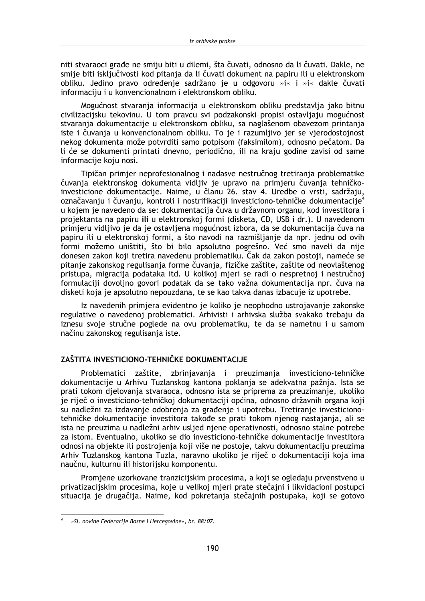niti stvaraoci građe ne smiju biti u dilemi, šta čuvati, odnosno da li čuvati. Dakle, ne smije biti isključivosti kod pitanja da li čuvati dokument na papiru ili u elektronskom obliku. Jedino pravo određenje sadržano je u odgovoru »i« i »i« dakle čuvati informaciju i u konvencionalnom i elektronskom obliku.

Mogućnost stvaranja informacija u elektronskom obliku predstavlja jako bitnu civilizacijsku tekovinu. U tom pravcu svi podzakonski propisi ostavljaju mogućnost stvaranja dokumentacije u elektronskom obliku, sa naglašenom obavezom printanja iste i čuvanja u konvencionalnom obliku. To je i razumljivo jer se vjerodostojnost nekog dokumenta može potvrditi samo potpisom (faksimilom), odnosno pečatom. Da li će se dokumenti printati dnevno, periodično, ili na kraju godine zavisi od same informacije koju nosi.

Tipičan primjer neprofesionalnog i nadasve nestručnog tretiranja problematike čuvanja elektronskog dokumenta vidljiv je upravo na primjeru čuvanja tehničkoinvesticione dokumentacije. Naime, u članu 26. stav 4. Uredbe o vrsti, sadržaju, označavanju i čuvanju, kontroli i nostrifikaciji investiciono-tehničke dokumentacije<sup>4</sup> u kojem je navedeno da se: dokumentacija čuva u državnom organu, kod investitora i projektanta na papiru ili u elektronskoj formi (disketa, CD, USB i dr.). U navedenom primjeru vidljivo je da je ostavljena mogućnost izbora, da se dokumentacija čuva na papiru ili u elektronskoj formi, a što navodi na razmišljanje da npr. jednu od ovih formi možemo uništiti, što bi bilo apsolutno pogrešno. Već smo naveli da nije donesen zakon koji tretira navedenu problematiku. Čak da zakon postoji, nameće se pitanje zakonskog regulisanja forme čuvanja, fizičke zaštite, zaštite od neovlaštenog pristupa, migracija podataka itd. U kolikoj mjeri se radi o nespretnoj i nestručnoj formulaciji dovoljno govori podatak da se tako važna dokumentacija npr. čuva na disketi koja je apsolutno nepouzdana, te se kao takva danas izbacuje iz upotrebe.

Iz navedenih primjera evidentno je koliko je neophodno ustrojavanje zakonske regulative o navedenoj problematici. Arhivisti i arhivska služba svakako trebaju da iznesu svoje stručne poglede na ovu problematiku, te da se nametnu i u samom načinu zakonskog regulisanja iste.

# ZAŠTITA INVESTICIONO-TEHNIČKE DOKLIMENTACLIE

Problematici zaštite, zbrinjavanja i preuzimanja investiciono-tehničke dokumentacije u Arhivu Tuzlanskog kantona poklanja se adekvatna pažnja. Ista se prati tokom djelovanja stvaraoca, odnosno ista se priprema za preuzimanje, ukoliko je riječ o investiciono-tehničkoj dokumentaciji općina, odnosno državnih organa koji su nadležni za izdavanje odobrenja za građenje i upotrebu. Tretiranje investicionotehničke dokumentacije investitora takođe se prati tokom njenog nastajanja, ali se ista ne preuzima u nadležni arhiv usljed njene operativnosti, odnosno stalne potrebe za istom. Eventualno, ukoliko se dio investiciono-tehničke dokumentacije investitora odnosi na objekte ili postrojenja koji više ne postoje, takvu dokumentaciju preuzima Arhiv Tuzlanskog kantona Tuzla, naravno ukoliko je riječ o dokumentaciji koja ima naučnu, kulturnu ili historijsku komponentu.

Promjene uzorkovane tranzicijskim procesima, a koji se ogledaju prvenstveno u privatizacijskim procesima, koje u velikoj mjeri prate stečajni i likvidacioni postupci situacija je drugačija. Naime, kod pokretanja stečajnih postupaka, koji se gotovo

<sup>»</sup>Sl. novine Federacije Bosne i Hercegovine«, br. 88/07.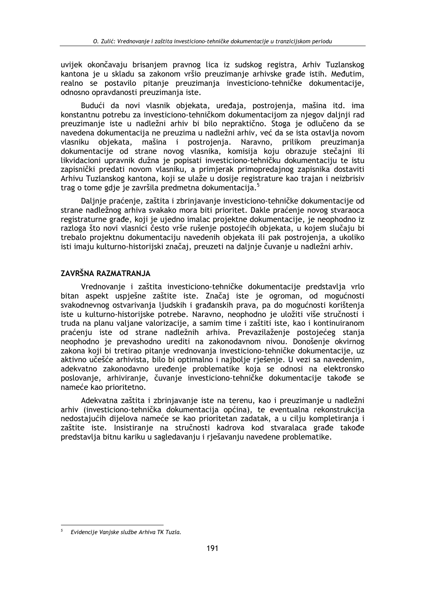uvijek okončavaju brisanjem pravnog lica iz sudskog registra, Arhiv Tuzlanskog kantona je u skladu sa zakonom vršio preuzimanje arhivske građe istih. Međutim, realno se postavilo pitanje preuzimanja investiciono-tehničke dokumentacije, odnosno opravdanosti preuzimania iste.

Budući da novi vlasnik objekata, uređaja, postrojenja, mašina itd. ima konstantnu potrebu za investiciono-tehničkom dokumentacijom za njegov daljnji rad preuzimanje iste u nadležni arhiv bi bilo nepraktično. Stoga je odlučeno da se navedena dokumentacija ne preuzima u nadležni arhiv, već da se ista ostavlja novom vlasniku objekata, mašina i postrojenja. Naravno, prilikom preuzimanja dokumentacije od strane novog vlasnika, komisija koju obrazuje stečajni ili likvidacioni upravnik dužna je popisati investiciono-tehničku dokumentaciju te istu zapisnički predati novom vlasniku, a primjerak primopredajnog zapisnika dostaviti Arhivu Tuzlanskog kantona, koji se ulaže u dosije registrature kao trajan i neizbrisiv trag o tome gdje je završila predmetna dokumentacija.<sup>5</sup>

Dalinie praćenie, zaštita i zbrinjavanje investiciono-tehničke dokumentacije od strane nadležnog arhiva svakako mora biti prioritet. Dakle praćenje novog stvaraoca registraturne građe, koji je ujedno imalac projektne dokumentacije, je neophodno iz razloga što novi vlasnici često vrše rušenje postojećih objekata, u kojem slučaju bi trebalo projektnu dokumentaciju navedenih objekata ili pak postrojenja, a ukoliko isti imaju kulturno-historijski značaj, preuzeti na daljnje čuvanje u nadležni arhiv.

# ZAVRŠNA RAZMATRANJA

Vrednovanje i zaštita investiciono-tehničke dokumentacije predstavlja vrlo bitan aspekt uspiešne zaštite iste. Značaj iste je ogroman, od mogućnosti svakodnevnog ostvarivanja ljudskih i građanskih prava, pa do mogućnosti korištenja iste u kulturno-historijske potrebe. Naravno, neophodno je uložiti više stručnosti i truda na planu valjane valorizacije, a samim time i zaštiti iste, kao i kontinuiranom praćeniu iste od strane nadležnih arhiva. Prevazilaženje postojećeg stanja neophodno je prevashodno urediti na zakonodavnom nivou. Donošenje okvirnog zakona koji bi tretirao pitanje vrednovanja investiciono-tehničke dokumentacije, uz aktivno učešće arhivista, bilo bi optimalno i najbolje rješenje. U vezi sa navedenim, adekvatno zakonodavno uređenje problematike koja se odnosi na elektronsko poslovanje, arhiviranje, čuvanje investiciono-tehničke dokumentacije takođe se nameće kao prioritetno.

Adekvatna zaštita i zbrinjavanje iste na terenu, kao i preuzimanje u nadležni arhiv (investiciono-tehnička dokumentacija općina), te eventualna rekonstrukcija nedostajućih dijelova nameće se kao prioritetan zadatak, a u cilju kompletiranja i zaštite iste. Insistiranje na stručnosti kadrova kod stvaralaca građe takođe predstavlja bitnu kariku u sagledavanju i rješavanju navedene problematike.

Evidencije Vanjske službe Arhiva TK Tuzla.